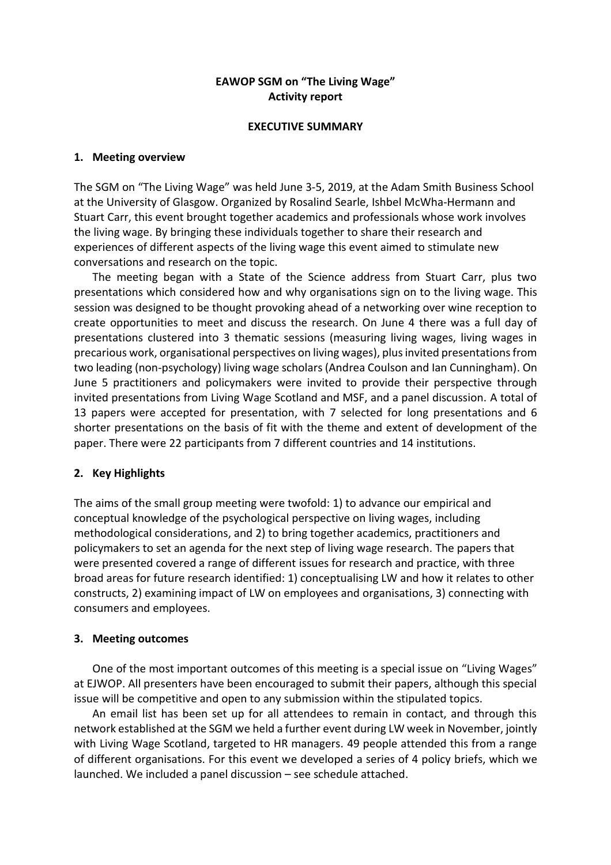## **EAWOP SGM on "The Living Wage" Activity report**

#### **EXECUTIVE SUMMARY**

## **1. Meeting overview**

The SGM on "The Living Wage" was held June 3-5, 2019, at the Adam Smith Business School at the University of Glasgow. Organized by Rosalind Searle, Ishbel McWha-Hermann and Stuart Carr, this event brought together academics and professionals whose work involves the living wage. By bringing these individuals together to share their research and experiences of different aspects of the living wage this event aimed to stimulate new conversations and research on the topic.

The meeting began with a State of the Science address from Stuart Carr, plus two presentations which considered how and why organisations sign on to the living wage. This session was designed to be thought provoking ahead of a networking over wine reception to create opportunities to meet and discuss the research. On June 4 there was a full day of presentations clustered into 3 thematic sessions (measuring living wages, living wages in precarious work, organisational perspectives on living wages), plus invited presentations from two leading (non-psychology) living wage scholars (Andrea Coulson and Ian Cunningham). On June 5 practitioners and policymakers were invited to provide their perspective through invited presentations from Living Wage Scotland and MSF, and a panel discussion. A total of 13 papers were accepted for presentation, with 7 selected for long presentations and 6 shorter presentations on the basis of fit with the theme and extent of development of the paper. There were 22 participants from 7 different countries and 14 institutions.

## **2. Key Highlights**

The aims of the small group meeting were twofold: 1) to advance our empirical and conceptual knowledge of the psychological perspective on living wages, including methodological considerations, and 2) to bring together academics, practitioners and policymakers to set an agenda for the next step of living wage research. The papers that were presented covered a range of different issues for research and practice, with three broad areas for future research identified: 1) conceptualising LW and how it relates to other constructs, 2) examining impact of LW on employees and organisations, 3) connecting with consumers and employees.

## **3. Meeting outcomes**

One of the most important outcomes of this meeting is a special issue on "Living Wages" at EJWOP. All presenters have been encouraged to submit their papers, although this special issue will be competitive and open to any submission within the stipulated topics.

An email list has been set up for all attendees to remain in contact, and through this network established at the SGM we held a further event during LW week in November, jointly with Living Wage Scotland, targeted to HR managers. 49 people attended this from a range of different organisations. For this event we developed a series of 4 policy briefs, which we launched. We included a panel discussion – see schedule attached.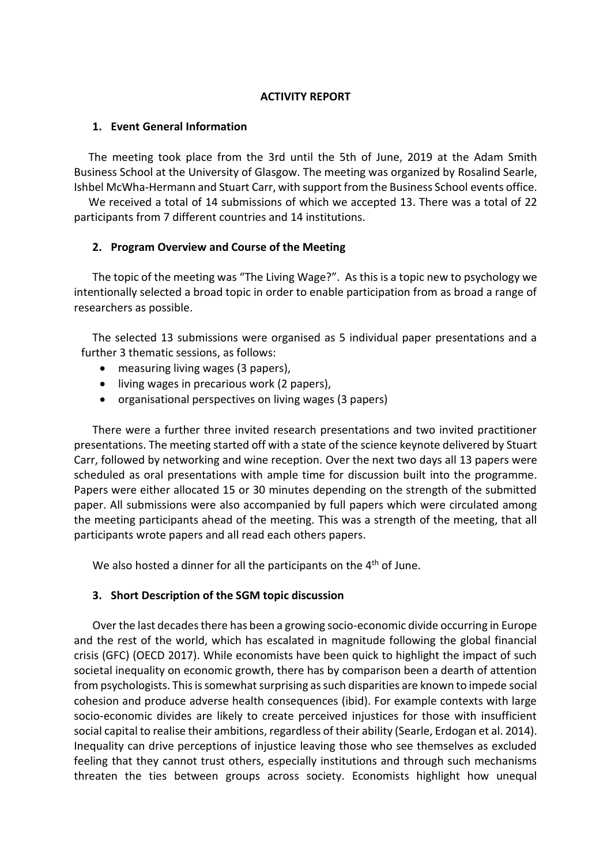## **ACTIVITY REPORT**

### **1. Event General Information**

The meeting took place from the 3rd until the 5th of June, 2019 at the Adam Smith Business School at the University of Glasgow. The meeting was organized by Rosalind Searle, Ishbel McWha-Hermann and Stuart Carr, with support from the Business School events office.

We received a total of 14 submissions of which we accepted 13. There was a total of 22 participants from 7 different countries and 14 institutions.

## **2. Program Overview and Course of the Meeting**

The topic of the meeting was "The Living Wage?". As this is a topic new to psychology we intentionally selected a broad topic in order to enable participation from as broad a range of researchers as possible.

The selected 13 submissions were organised as 5 individual paper presentations and a further 3 thematic sessions, as follows:

- measuring living wages (3 papers),
- living wages in precarious work (2 papers),
- organisational perspectives on living wages (3 papers)

There were a further three invited research presentations and two invited practitioner presentations. The meeting started off with a state of the science keynote delivered by Stuart Carr, followed by networking and wine reception. Over the next two days all 13 papers were scheduled as oral presentations with ample time for discussion built into the programme. Papers were either allocated 15 or 30 minutes depending on the strength of the submitted paper. All submissions were also accompanied by full papers which were circulated among the meeting participants ahead of the meeting. This was a strength of the meeting, that all participants wrote papers and all read each others papers.

We also hosted a dinner for all the participants on the 4<sup>th</sup> of June.

## **3. Short Description of the SGM topic discussion**

Over the last decades there has been a growing socio-economic divide occurring in Europe and the rest of the world, which has escalated in magnitude following the global financial crisis (GFC) (OECD 2017). While economists have been quick to highlight the impact of such societal inequality on economic growth, there has by comparison been a dearth of attention from psychologists. This is somewhat surprising as such disparities are known to impede social cohesion and produce adverse health consequences (ibid). For example contexts with large socio-economic divides are likely to create perceived injustices for those with insufficient social capital to realise their ambitions, regardless of their ability (Searle, Erdogan et al. 2014). Inequality can drive perceptions of injustice leaving those who see themselves as excluded feeling that they cannot trust others, especially institutions and through such mechanisms threaten the ties between groups across society. Economists highlight how unequal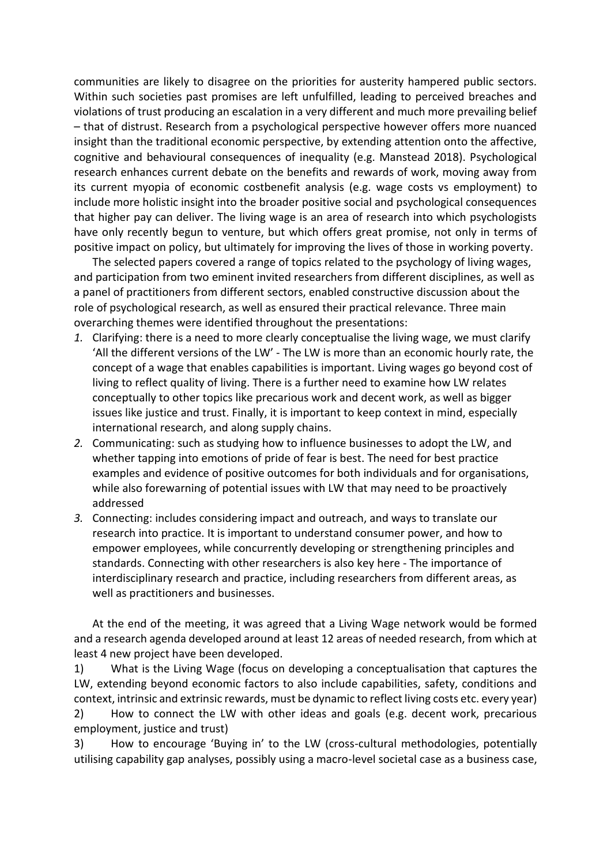communities are likely to disagree on the priorities for austerity hampered public sectors. Within such societies past promises are left unfulfilled, leading to perceived breaches and violations of trust producing an escalation in a very different and much more prevailing belief – that of distrust. Research from a psychological perspective however offers more nuanced insight than the traditional economic perspective, by extending attention onto the affective, cognitive and behavioural consequences of inequality (e.g. Manstead 2018). Psychological research enhances current debate on the benefits and rewards of work, moving away from its current myopia of economic costbenefit analysis (e.g. wage costs vs employment) to include more holistic insight into the broader positive social and psychological consequences that higher pay can deliver. The living wage is an area of research into which psychologists have only recently begun to venture, but which offers great promise, not only in terms of positive impact on policy, but ultimately for improving the lives of those in working poverty.

The selected papers covered a range of topics related to the psychology of living wages, and participation from two eminent invited researchers from different disciplines, as well as a panel of practitioners from different sectors, enabled constructive discussion about the role of psychological research, as well as ensured their practical relevance. Three main overarching themes were identified throughout the presentations:

- *1.* Clarifying: there is a need to more clearly conceptualise the living wage, we must clarify 'All the different versions of the LW' - The LW is more than an economic hourly rate, the concept of a wage that enables capabilities is important. Living wages go beyond cost of living to reflect quality of living. There is a further need to examine how LW relates conceptually to other topics like precarious work and decent work, as well as bigger issues like justice and trust. Finally, it is important to keep context in mind, especially international research, and along supply chains.
- *2.* Communicating: such as studying how to influence businesses to adopt the LW, and whether tapping into emotions of pride of fear is best. The need for best practice examples and evidence of positive outcomes for both individuals and for organisations, while also forewarning of potential issues with LW that may need to be proactively addressed
- *3.* Connecting: includes considering impact and outreach, and ways to translate our research into practice. It is important to understand consumer power, and how to empower employees, while concurrently developing or strengthening principles and standards. Connecting with other researchers is also key here - The importance of interdisciplinary research and practice, including researchers from different areas, as well as practitioners and businesses.

At the end of the meeting, it was agreed that a Living Wage network would be formed and a research agenda developed around at least 12 areas of needed research, from which at least 4 new project have been developed.

1) What is the Living Wage (focus on developing a conceptualisation that captures the LW, extending beyond economic factors to also include capabilities, safety, conditions and context, intrinsic and extrinsic rewards, must be dynamic to reflect living costs etc. every year)

2) How to connect the LW with other ideas and goals (e.g. decent work, precarious employment, justice and trust)

3) How to encourage 'Buying in' to the LW (cross-cultural methodologies, potentially utilising capability gap analyses, possibly using a macro-level societal case as a business case,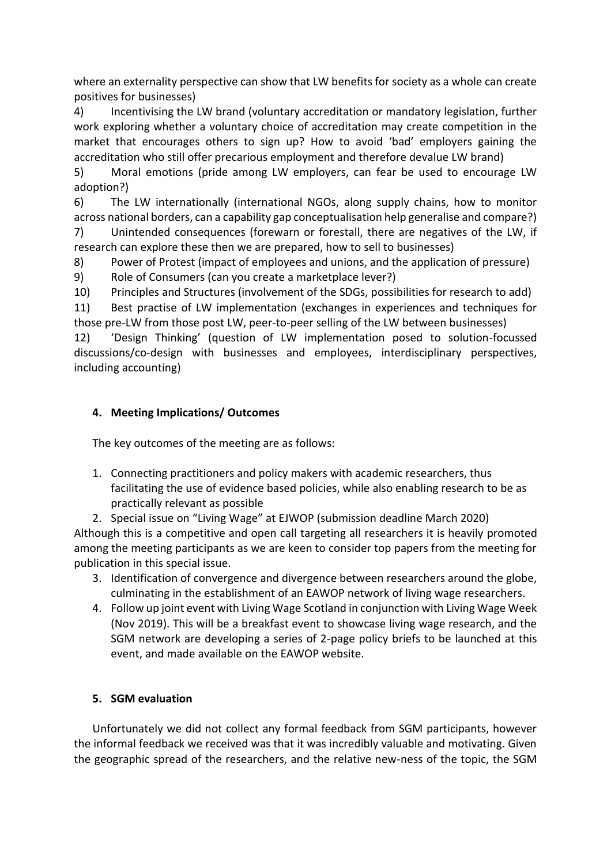where an externality perspective can show that LW benefits for society as a whole can create positives for businesses)

4) Incentivising the LW brand (voluntary accreditation or mandatory legislation, further work exploring whether a voluntary choice of accreditation may create competition in the market that encourages others to sign up? How to avoid 'bad' employers gaining the accreditation who still offer precarious employment and therefore devalue LW brand)

5) Moral emotions (pride among LW employers, can fear be used to encourage LW adoption?)

6) The LW internationally (international NGOs, along supply chains, how to monitor across national borders, can a capability gap conceptualisation help generalise and compare?) 7) Unintended consequences (forewarn or forestall, there are negatives of the LW, if research can explore these then we are prepared, how to sell to businesses)

8) Power of Protest (impact of employees and unions, and the application of pressure)

9) Role of Consumers (can you create a marketplace lever?)

10) Principles and Structures (involvement of the SDGs, possibilities for research to add)

11) Best practise of LW implementation (exchanges in experiences and techniques for those pre-LW from those post LW, peer-to-peer selling of the LW between businesses)

12) 'Design Thinking' (question of LW implementation posed to solution-focussed discussions/co-design with businesses and employees, interdisciplinary perspectives, including accounting)

## **4. Meeting Implications/ Outcomes**

The key outcomes of the meeting are as follows:

- 1. Connecting practitioners and policy makers with academic researchers, thus facilitating the use of evidence based policies, while also enabling research to be as practically relevant as possible
- 2. Special issue on "Living Wage" at EJWOP (submission deadline March 2020)

Although this is a competitive and open call targeting all researchers it is heavily promoted among the meeting participants as we are keen to consider top papers from the meeting for publication in this special issue.

- 3. Identification of convergence and divergence between researchers around the globe, culminating in the establishment of an EAWOP network of living wage researchers.
- 4. Follow up joint event with Living Wage Scotland in conjunction with Living Wage Week (Nov 2019). This will be a breakfast event to showcase living wage research, and the SGM network are developing a series of 2-page policy briefs to be launched at this event, and made available on the EAWOP website.

## **5. SGM evaluation**

Unfortunately we did not collect any formal feedback from SGM participants, however the informal feedback we received was that it was incredibly valuable and motivating. Given the geographic spread of the researchers, and the relative new-ness of the topic, the SGM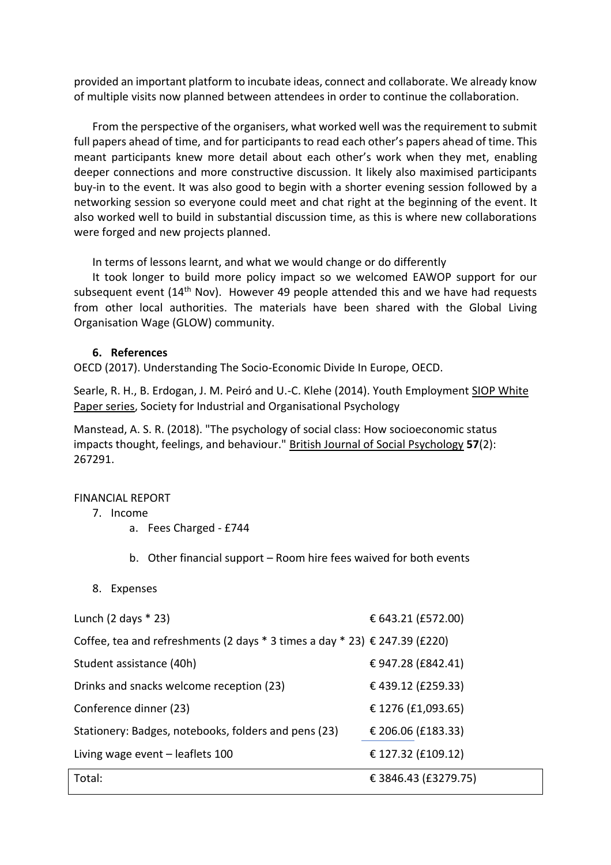provided an important platform to incubate ideas, connect and collaborate. We already know of multiple visits now planned between attendees in order to continue the collaboration.

From the perspective of the organisers, what worked well was the requirement to submit full papers ahead of time, and for participants to read each other's papers ahead of time. This meant participants knew more detail about each other's work when they met, enabling deeper connections and more constructive discussion. It likely also maximised participants buy-in to the event. It was also good to begin with a shorter evening session followed by a networking session so everyone could meet and chat right at the beginning of the event. It also worked well to build in substantial discussion time, as this is where new collaborations were forged and new projects planned.

In terms of lessons learnt, and what we would change or do differently

It took longer to build more policy impact so we welcomed EAWOP support for our subsequent event  $(14<sup>th</sup>$  Nov). However 49 people attended this and we have had requests from other local authorities. The materials have been shared with the Global Living Organisation Wage (GLOW) community.

## **6. References**

OECD (2017). Understanding The Socio-Economic Divide In Europe, OECD.

Searle, R. H., B. Erdogan, J. M. Peiró and U.-C. Klehe (2014). Youth Employment SIOP White Paper series, Society for Industrial and Organisational Psychology

Manstead, A. S. R. (2018). "The psychology of social class: How socioeconomic status impacts thought, feelings, and behaviour." British Journal of Social Psychology **57**(2): 267291.

## FINANCIAL REPORT

## 7. Income

- a. Fees Charged £744
- b. Other financial support Room hire fees waived for both events
- 8. Expenses

| Lunch $(2 \text{ days} * 23)$                                                           | € 643.21 (£572.00)   |
|-----------------------------------------------------------------------------------------|----------------------|
| Coffee, tea and refreshments (2 days $*$ 3 times a day $*$ 23) $\epsilon$ 247.39 (£220) |                      |
| Student assistance (40h)                                                                | € 947.28 (£842.41)   |
| Drinks and snacks welcome reception (23)                                                | €439.12 (£259.33)    |
| Conference dinner (23)                                                                  | € 1276 (£1,093.65)   |
| Stationery: Badges, notebooks, folders and pens (23)                                    | € 206.06 (£183.33)   |
| Living wage event – leaflets 100                                                        | € 127.32 (£109.12)   |
| Total:                                                                                  | € 3846.43 (£3279.75) |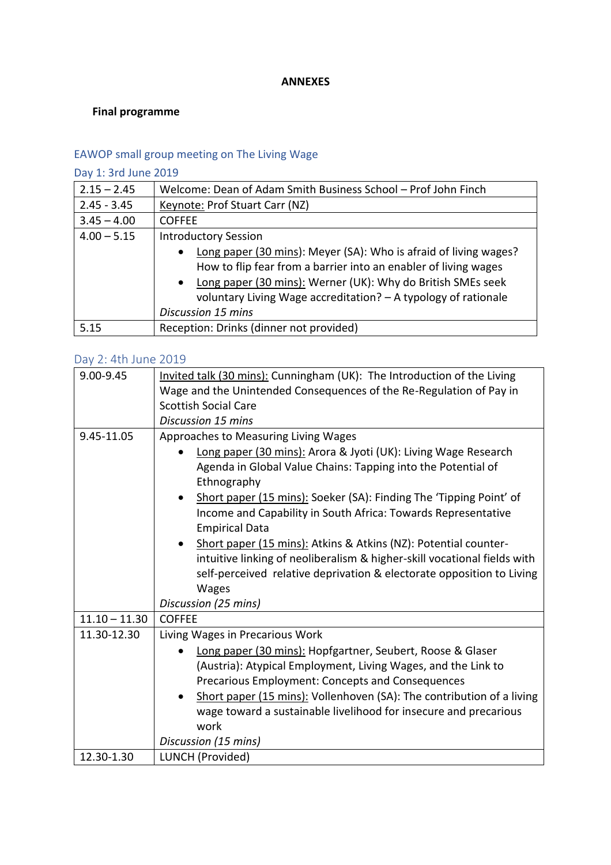### **ANNEXES**

## **Final programme**

# EAWOP small group meeting on The Living Wage

# Day 1: 3rd June 2019

| $2.15 - 2.45$ | Welcome: Dean of Adam Smith Business School - Prof John Finch                                                                                                                                                                                                                                  |  |  |  |
|---------------|------------------------------------------------------------------------------------------------------------------------------------------------------------------------------------------------------------------------------------------------------------------------------------------------|--|--|--|
| $2.45 - 3.45$ | Keynote: Prof Stuart Carr (NZ)                                                                                                                                                                                                                                                                 |  |  |  |
| $3.45 - 4.00$ | <b>COFFEE</b>                                                                                                                                                                                                                                                                                  |  |  |  |
| $4.00 - 5.15$ | <b>Introductory Session</b>                                                                                                                                                                                                                                                                    |  |  |  |
|               | Long paper (30 mins): Meyer (SA): Who is afraid of living wages?<br>$\bullet$<br>How to flip fear from a barrier into an enabler of living wages<br>Long paper (30 mins): Werner (UK): Why do British SMEs seek<br>$\bullet$<br>voluntary Living Wage accreditation? - A typology of rationale |  |  |  |
|               | <b>Discussion 15 mins</b>                                                                                                                                                                                                                                                                      |  |  |  |
| 5.15          | Reception: Drinks (dinner not provided)                                                                                                                                                                                                                                                        |  |  |  |

## Day 2: 4th June 2019

| 9.00-9.45       | Invited talk (30 mins): Cunningham (UK): The Introduction of the Living  |  |  |  |  |
|-----------------|--------------------------------------------------------------------------|--|--|--|--|
|                 | Wage and the Unintended Consequences of the Re-Regulation of Pay in      |  |  |  |  |
|                 | <b>Scottish Social Care</b>                                              |  |  |  |  |
|                 | <b>Discussion 15 mins</b>                                                |  |  |  |  |
| 9.45-11.05      | Approaches to Measuring Living Wages                                     |  |  |  |  |
|                 | Long paper (30 mins): Arora & Jyoti (UK): Living Wage Research           |  |  |  |  |
|                 | Agenda in Global Value Chains: Tapping into the Potential of             |  |  |  |  |
|                 | Ethnography                                                              |  |  |  |  |
|                 | Short paper (15 mins): Soeker (SA): Finding The 'Tipping Point' of       |  |  |  |  |
|                 | Income and Capability in South Africa: Towards Representative            |  |  |  |  |
|                 | <b>Empirical Data</b>                                                    |  |  |  |  |
|                 | Short paper (15 mins): Atkins & Atkins (NZ): Potential counter-          |  |  |  |  |
|                 | intuitive linking of neoliberalism & higher-skill vocational fields with |  |  |  |  |
|                 | self-perceived relative deprivation & electorate opposition to Living    |  |  |  |  |
|                 | <b>Wages</b>                                                             |  |  |  |  |
|                 | Discussion (25 mins)                                                     |  |  |  |  |
| $11.10 - 11.30$ | <b>COFFEE</b>                                                            |  |  |  |  |
| 11.30-12.30     | Living Wages in Precarious Work                                          |  |  |  |  |
|                 | Long paper (30 mins): Hopfgartner, Seubert, Roose & Glaser               |  |  |  |  |
|                 | (Austria): Atypical Employment, Living Wages, and the Link to            |  |  |  |  |
|                 | Precarious Employment: Concepts and Consequences                         |  |  |  |  |
|                 | Short paper (15 mins): Vollenhoven (SA): The contribution of a living    |  |  |  |  |
|                 | wage toward a sustainable livelihood for insecure and precarious         |  |  |  |  |
|                 | work                                                                     |  |  |  |  |
|                 | Discussion (15 mins)                                                     |  |  |  |  |
| 12.30-1.30      | LUNCH (Provided)                                                         |  |  |  |  |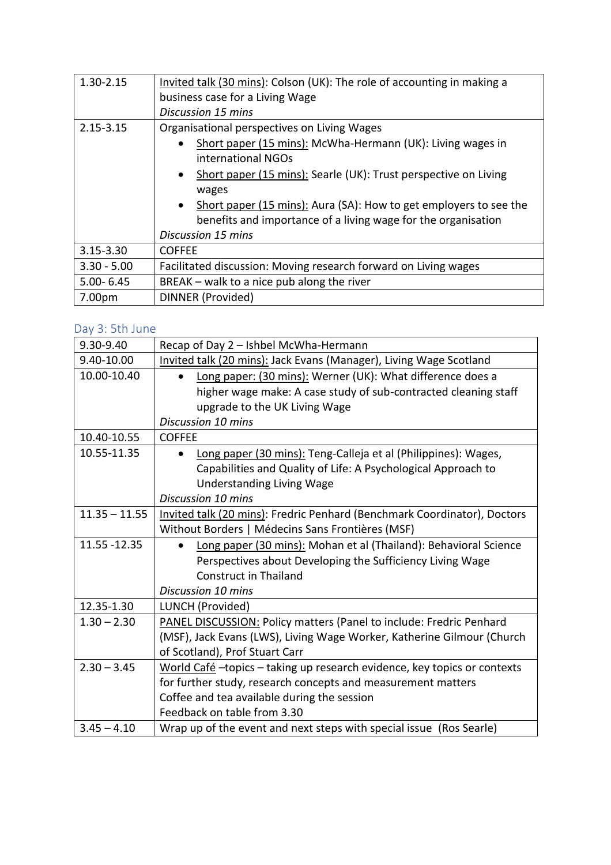| 1.30-2.15     | Invited talk (30 mins): Colson (UK): The role of accounting in making a<br>business case for a Living Wage<br>Discussion 15 mins                                                                                                                                                                                                                                        |  |  |  |
|---------------|-------------------------------------------------------------------------------------------------------------------------------------------------------------------------------------------------------------------------------------------------------------------------------------------------------------------------------------------------------------------------|--|--|--|
| 2.15-3.15     | Organisational perspectives on Living Wages<br>Short paper (15 mins): McWha-Hermann (UK): Living wages in<br>international NGOs<br>Short paper (15 mins): Searle (UK): Trust perspective on Living<br>wages<br>Short paper (15 mins): Aura (SA): How to get employers to see the<br>benefits and importance of a living wage for the organisation<br>Discussion 15 mins |  |  |  |
| 3.15-3.30     | <b>COFFEE</b>                                                                                                                                                                                                                                                                                                                                                           |  |  |  |
| $3.30 - 5.00$ | Facilitated discussion: Moving research forward on Living wages                                                                                                                                                                                                                                                                                                         |  |  |  |
| $5.00 - 6.45$ | BREAK - walk to a nice pub along the river                                                                                                                                                                                                                                                                                                                              |  |  |  |
| 7.00pm        | DINNER (Provided)                                                                                                                                                                                                                                                                                                                                                       |  |  |  |

# Day 3: 5th June

| 9.30-9.40       | Recap of Day 2 - Ishbel McWha-Hermann                                       |  |  |  |  |
|-----------------|-----------------------------------------------------------------------------|--|--|--|--|
| 9.40-10.00      | Invited talk (20 mins): Jack Evans (Manager), Living Wage Scotland          |  |  |  |  |
| 10.00-10.40     | Long paper: (30 mins): Werner (UK): What difference does a<br>$\bullet$     |  |  |  |  |
|                 | higher wage make: A case study of sub-contracted cleaning staff             |  |  |  |  |
|                 | upgrade to the UK Living Wage                                               |  |  |  |  |
|                 | Discussion 10 mins                                                          |  |  |  |  |
| 10.40-10.55     | <b>COFFEE</b>                                                               |  |  |  |  |
| 10.55-11.35     | Long paper (30 mins): Teng-Calleja et al (Philippines): Wages,<br>$\bullet$ |  |  |  |  |
|                 | Capabilities and Quality of Life: A Psychological Approach to               |  |  |  |  |
|                 | <b>Understanding Living Wage</b>                                            |  |  |  |  |
|                 | Discussion 10 mins                                                          |  |  |  |  |
| $11.35 - 11.55$ | Invited talk (20 mins): Fredric Penhard (Benchmark Coordinator), Doctors    |  |  |  |  |
|                 | Without Borders   Médecins Sans Frontières (MSF)                            |  |  |  |  |
| 11.55 - 12.35   | Long paper (30 mins): Mohan et al (Thailand): Behavioral Science            |  |  |  |  |
|                 | Perspectives about Developing the Sufficiency Living Wage                   |  |  |  |  |
|                 | <b>Construct in Thailand</b>                                                |  |  |  |  |
|                 | Discussion 10 mins                                                          |  |  |  |  |
| 12.35-1.30      | LUNCH (Provided)                                                            |  |  |  |  |
| $1.30 - 2.30$   | PANEL DISCUSSION: Policy matters (Panel to include: Fredric Penhard         |  |  |  |  |
|                 | (MSF), Jack Evans (LWS), Living Wage Worker, Katherine Gilmour (Church      |  |  |  |  |
|                 | of Scotland), Prof Stuart Carr                                              |  |  |  |  |
| $2.30 - 3.45$   | World Café - topics - taking up research evidence, key topics or contexts   |  |  |  |  |
|                 | for further study, research concepts and measurement matters                |  |  |  |  |
|                 | Coffee and tea available during the session                                 |  |  |  |  |
|                 | Feedback on table from 3.30                                                 |  |  |  |  |
| $3.45 - 4.10$   | Wrap up of the event and next steps with special issue (Ros Searle)         |  |  |  |  |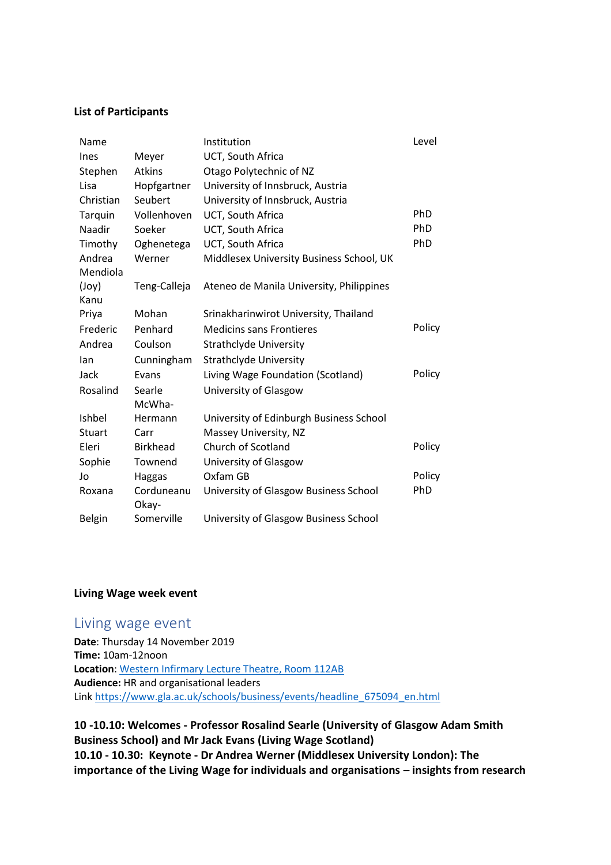#### **List of Participants**

| Name          |                     | Institution                              | Level  |
|---------------|---------------------|------------------------------------------|--------|
| Ines          | Meyer               | UCT, South Africa                        |        |
| Stephen       | <b>Atkins</b>       | Otago Polytechnic of NZ                  |        |
| Lisa          | Hopfgartner         | University of Innsbruck, Austria         |        |
| Christian     | Seubert             | University of Innsbruck, Austria         |        |
| Tarquin       | Vollenhoven         | UCT, South Africa                        | PhD    |
| Naadir        | Soeker              | UCT, South Africa                        | PhD    |
| Timothy       | Oghenetega          | UCT, South Africa                        | PhD    |
| Andrea        | Werner              | Middlesex University Business School, UK |        |
| Mendiola      |                     |                                          |        |
| $($ Joy $)$   | Teng-Calleja        | Ateneo de Manila University, Philippines |        |
| Kanu          |                     |                                          |        |
| Priya         | Mohan               | Srinakharinwirot University, Thailand    |        |
| Frederic      | Penhard             | <b>Medicins sans Frontieres</b>          | Policy |
| Andrea        | Coulson             | <b>Strathclyde University</b>            |        |
| lan           | Cunningham          | <b>Strathclyde University</b>            |        |
| Jack          | Evans               | Living Wage Foundation (Scotland)        | Policy |
| Rosalind      | Searle              | University of Glasgow                    |        |
|               | McWha-              |                                          |        |
| <b>Ishbel</b> | Hermann             | University of Edinburgh Business School  |        |
| Stuart        | Carr                | Massey University, NZ                    |        |
| Eleri         | <b>Birkhead</b>     | Church of Scotland                       | Policy |
| Sophie        | Townend             | University of Glasgow                    |        |
| Jo            | Haggas              | Oxfam GB                                 | Policy |
| Roxana        | Corduneanu<br>Okay- | University of Glasgow Business School    | PhD    |
| <b>Belgin</b> | Somerville          | University of Glasgow Business School    |        |

## **Living Wage week event**

## Living wage event

**Date**: Thursday 14 November 2019 **Time:** 10am-12noon **Location**: [Western Infirmary Lecture Theatre, Room 112AB](https://www.gla.ac.uk/apps/timetable/#/map?buildingId=W14&toId=W140112AB&toType=R) **Audience:** HR and organisational leaders Link [https://www.gla.ac.uk/schools/business/events/headline\\_675094\\_en.html](https://www.gla.ac.uk/schools/business/events/headline_675094_en.html)

**10 -10.10: Welcomes - Professor Rosalind Searle (University of Glasgow Adam Smith Business School) and Mr Jack Evans (Living Wage Scotland) 10.10 - 10.30: Keynote - Dr Andrea Werner (Middlesex University London): The importance of the Living Wage for individuals and organisations – insights from research**